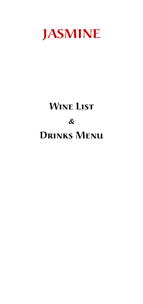

# **Wine List & Drinks Menu**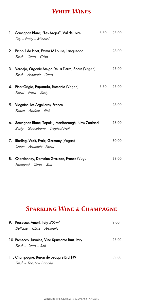## **White Wines**

|    | 1. Sauvignon Blanc, "Les Anges", Val de Loire<br>Dry - Fruity - Mineral                  | 6.50 | 23.00 |
|----|------------------------------------------------------------------------------------------|------|-------|
| 2. | Picpoul de Pinet, Emma M Louise, Languedoc<br>Fresh - Citrus - Crisp                     |      | 28.00 |
| 3. | Verdejo, Organic Amigo De La Tierra, Spain (Vegan)<br>Fresh - Aromatic- Citrus           |      | 25.00 |
| 4. | Pinot Grigio, Paparuda, Romania (Vegan)<br>Floral - Fresh - Zesty                        | 6.50 | 23.00 |
| 5. | Viognier, Les Argelieres, France<br>Peach - Apricot - Rich                               |      | 28.00 |
| 6. | Sauvignon Blanc, Topuku, Marlborough, New Zealand<br>Zesty - Gooseberry - Tropical Fruit |      | 28.00 |
|    | 7. Riesling, Walt, Pralz, Germany (Vegan)<br>Clean – Aromatic Floral                     |      | 30.00 |
| 8. | Chardonnay, Domaine Grauzan, France (Vegan)<br>Honeyed - Citrus - Soft                   |      | 28.00 |

# **SPARKLING WINE & CHAMPAGNE**

| 9. | Prosecco, Amori, Italy 200ml                                                | 9.00  |
|----|-----------------------------------------------------------------------------|-------|
|    | Delicate – Citrus – Aromatic                                                |       |
|    | 10. Prosecco, Jasmine, Vino Spumante Brut, Italy<br>$Fresh - Citrus - Soft$ | 26.00 |
|    | 11. Champagne, Baron de Beaupre Brut NV<br>Fresh - Toasty - Brioche         | 39.00 |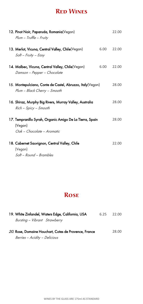## **Red Wines**

| 12. Pinot Noir, Paparuda, Romania (Vegan)<br>Plum - Truffle - Fruity                              |      | 22.00 |
|---------------------------------------------------------------------------------------------------|------|-------|
| 13. Merlot, Vicuna, Central Valley, Chile(Vegan)<br>Soft - Fruity - Easy                          | 6.00 | 22.00 |
| 14. Malbec, Vicuna, Central Valley, Chile(Vegan)<br>Damson - Pepper - Chocolate                   | 6.00 | 22.00 |
| 15. Montepulciano, Conte de Castel, Abruzzo, Italy (Vegan)<br>Plum - Black Cherry - Smooth        |      | 28.00 |
| 16. Shiraz, Murphy Big Rivers, Murray Valley, Australia<br>Rich - Spicy - Smooth                  |      | 28.00 |
| 17. Tempranillo Syrah, Organic Amigo De La Tierra, Spain<br>(Vegan)<br>Oak - Chocolate - Aromatic |      | 28.00 |
| 18. Cabernet Sauvignon, Central Valley, Chile<br>(Vegan)<br>Soft - Round - Brambles               |      | 22.00 |

# **Rose**

| 19. White Zinfandel, Waters Edge, California, USA            | 6.25 | 22.00 |
|--------------------------------------------------------------|------|-------|
| Bursting - Vibrant Strawberry                                |      |       |
| <i>20.</i> Rose, Domaine Houchart, Cotes de Provence, France |      | 28.00 |

Berries – Acidity – Delicious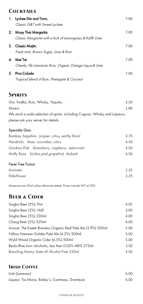#### **Cocktails**

|    | 1. Lychee Gin and Tonic<br>Classic G&T with Sweet Lychee                            | 7.00 |
|----|-------------------------------------------------------------------------------------|------|
|    | 2. Muay Thai Margarita<br>Classic Margarita with a kick of Lemongrass & Kaffir Lime | 7.00 |
|    | 3. Classic Mojito<br>Fresh mint, Brown Sugar, Lime & Rum                            | 7.00 |
|    | 4. Mai Tai<br>Cheeky Tiki Jamaican Rum, Orgeat, Orange Liquor& Lime                 | 7.00 |
| 5. | Pina Colada<br>Tropical blend of Rum, Pineapple & Coconut                           | 7.00 |

### **Spirits**

| Gin, Vodka, Rum, Whisky, Tequila                                             | 3.50 |
|------------------------------------------------------------------------------|------|
| <b>Mixers</b>                                                                | 1.80 |
| We stock a wide selection of spirits, including Cognac, Whisky and Liqueurs, |      |
| please ask your server for details.                                          |      |

#### Specialty Gins:

| Bombay Sapphire Juniper, citrus, earthy floral | 3.75 |
|------------------------------------------------|------|
| Hendricks Rose, cucumber, citrus               | 4.50 |
| Gordons Pink Strawberry, raspberry, redcurrant | 3.50 |
| Malfy Rosa Sicilian pink grapefruit, rhubarb   | 4.50 |
|                                                |      |

#### Fever Tree Tonics:

| Aromatic    | 2.25 |
|-------------|------|
| Elderflower | 2.25 |

Measures are 25ml unless otherwise stated. Prices include VAT at 20%

## **Beer & Cider**

| Singha Beer (5%): Pint                                        | 4.95 |
|---------------------------------------------------------------|------|
| Singha Beer (5%): Half                                        | 3.00 |
| Singha Beer (5%) 330ml                                        | 4.00 |
| Chang Beer (5%) 320ml                                         | 4.00 |
| Avocet, The Exeter Brewery Organic Real Pale Ale (3.9%) 500ml | 5.00 |
| Yellow Hammer Golden Pale Ale (4.2%) 500ml                    | 5.00 |
| Wyld Wood Organic Cider (6.5%) 500ml                          | 5.00 |
| Becks Blue (non alcoholic, less than 0.05% ABV) 275ml         | 3.50 |
| BrewDog Nanny State AF Alcohol Free 330ml                     | 3.50 |

#### **Irish Coffee**

| Irish (Jameson)                                   | 6.00 |
|---------------------------------------------------|------|
| Liqueur: Tia Maria, Bailey's, Cointreau, Drambuie | 6.00 |